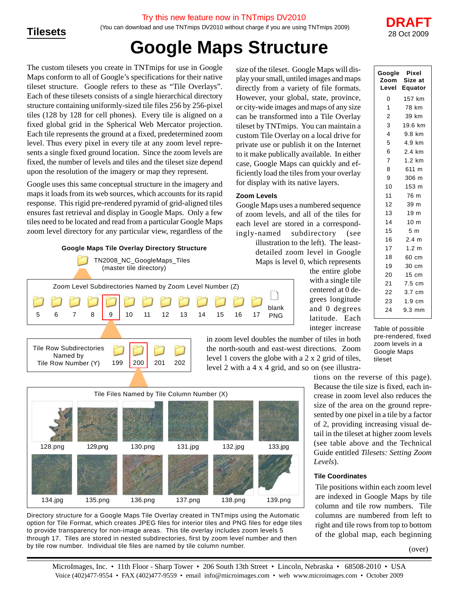# Try this new feature now in TNTmips DV2010

Tilesets (You can download and use TNTmips DV2010 without charge if you are using TNTmips 2009)<br>28 Oct 2009



# **Google Maps Structure**

The custom tilesets you create in TNTmips for use in Google Maps conform to all of Google's specifications for their native tileset structure. Google refers to these as "Tile Overlays". Each of these tilesets consists of a single hierarchical directory structure containing uniformly-sized tile files 256 by 256-pixel tiles (128 by 128 for cell phones). Every tile is aligned on a fixed global grid in the Spherical Web Mercator projection. Each tile represents the ground at a fixed, predetermined zoom level. Thus every pixel in every tile at any zoom level represents a single fixed ground location. Since the zoom levels are fixed, the number of levels and tiles and the tileset size depend upon the resolution of the imagery or map they represent.

Google uses this same conceptual structure in the imagery and maps it loads from its web sources, which accounts for its rapid response. This rigid pre-rendered pyramid of grid-aligned tiles ensures fast retrieval and display in Google Maps. Only a few tiles need to be located and read from a particular Google Maps zoom level directory for any particular view, regardless of the



Tile Row Number (Y) 199 | 200 | 201 202

Tile Row Subdirectories Named by





play your small, untiled images and maps directly from a variety of file formats. However, your global, state, province, or city-wide images and maps of any size can be transformed into a Tile Overlay tileset by TNTmips. You can maintain a custom Tile Overlay on a local drive for private use or publish it on the Internet to it make publically available. In either case, Google Maps can quickly and efficiently load the tiles from your overlay for display with its native layers.

size of the tileset. Google Maps will dis-

# **Zoom Levels**

Google Maps uses a numbered sequence of zoom levels, and all of the tiles for each level are stored in a correspondingly-named subdirectory (see

> illustration to the left). The leastdetailed zoom level in Google Maps is level 0, which represents

> > the entire globe with a single tile centered at 0 degrees longitude and 0 degrees latitude. Each integer increase

in zoom level doubles the number of tiles in both the north-south and east-west directions. Zoom level 1 covers the globe with a 2 x 2 grid of tiles, level 2 with a 4 x 4 grid, and so on (see illustra-



Directory structure for a Google Maps Tile Overlay created in TNTmips using the Automatic option for Tile Format, which creates JPEG files for interior tiles and PNG files for edge tiles to provide transparency for non-image areas. This tile overlay includes zoom levels 5 through 17. Tiles are stored in nested subdirectories, first by zoom level number and then by tile row number. Individual tile files are named by tile column number.

(over)

| Google<br>Pixel |                  |  |
|-----------------|------------------|--|
| Zoom            | Size at          |  |
|                 | Level Equator    |  |
| 0               | 157 km           |  |
| 1               | 78 km            |  |
| 2               | 39 km            |  |
| 3               | 19.6 km          |  |
| 4               | 9.8 km           |  |
| 5               | 4.9 km           |  |
| 6               | 2.4 km           |  |
| 7               | $1.2 \text{ km}$ |  |
| 8               | 611 m            |  |
| 9               | 306 m            |  |
| 10              | 153 m            |  |
| 11              | 76 m             |  |
| 12              | 39 m             |  |
| 13              | 19 m             |  |
| 14              | 10 <sub>m</sub>  |  |
| 15              | 5 <sub>m</sub>   |  |
| 16              | 2.4 m            |  |
| 17              | 1.2 <sub>m</sub> |  |
| 18              | 60 cm            |  |
| 19              | 30 cm            |  |
| 20              | 15 cm            |  |
| 21              | 7.5 cm           |  |
| 22              | 3.7 cm           |  |
| 23              | $1.9 \text{ cm}$ |  |
| 24              | $9.3 \text{ mm}$ |  |

Table of possible pre-rendered, fixed zoom levels in a Google Maps tileset

tions on the reverse of this page). Because the tile size is fixed, each increase in zoom level also reduces the size of the area on the ground represented by one pixel in a tile by a factor of 2, providing increasing visual detail in the tileset at higher zoom levels (see table above and the Technical Guide entitled *Tilesets: Setting Zoom Levels*).

### **Tile Coordinates**

Tile positions within each zoom level are indexed in Google Maps by tile column and tile row numbers. Tile columns are numbered from left to right and tile rows from top to bottom of the global map, each beginning